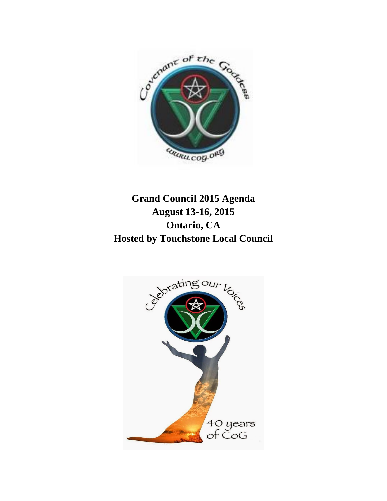

# **Grand Council 2015 Agenda August 13-16, 2015 Ontario, CA Hosted by Touchstone Local Council**

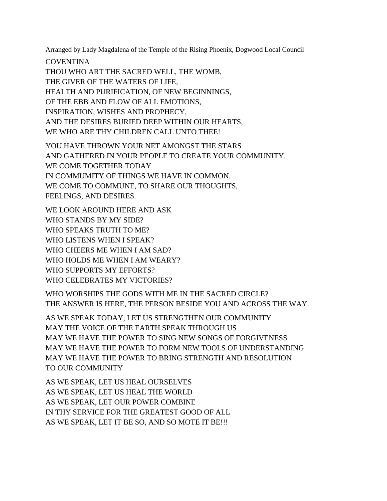Arranged by Lady Magdalena of the Temple of the Rising Phoenix, Dogwood Local Council

**COVENTINA** 

THOU WHO ART THE SACRED WELL, THE WOMB, THE GIVER OF THE WATERS OF LIFE, HEALTH AND PURIFICATION, OF NEW BEGINNINGS, OF THE EBB AND FLOW OF ALL EMOTIONS, INSPIRATION, WISHES AND PROPHECY, AND THE DESIRES BURIED DEEP WITHIN OUR HEARTS, WE WHO ARE THY CHILDREN CALL UNTO THEE!

YOU HAVE THROWN YOUR NET AMONGST THE STARS AND GATHERED IN YOUR PEOPLE TO CREATE YOUR COMMUNITY. WE COME TOGETHER TODAY IN COMMUMITY OF THINGS WE HAVE IN COMMON. WE COME TO COMMUNE, TO SHARE OUR THOUGHTS, FEELINGS, AND DESIRES.

WE LOOK AROUND HERE AND ASK WHO STANDS BY MY SIDE? WHO SPEAKS TRUTH TO ME? WHO LISTENS WHEN I SPEAK? WHO CHEERS ME WHEN I AM SAD? WHO HOLDS ME WHEN I AM WEARY? WHO SUPPORTS MY EFFORTS? WHO CELEBRATES MY VICTORIES?

WHO WORSHIPS THE GODS WITH ME IN THE SACRED CIRCLE? THE ANSWER IS HERE, THE PERSON BESIDE YOU AND ACROSS THE WAY.

AS WE SPEAK TODAY, LET US STRENGTHEN OUR COMMUNITY MAY THE VOICE OF THE EARTH SPEAK THROUGH US MAY WE HAVE THE POWER TO SING NEW SONGS OF FORGIVENESS MAY WE HAVE THE POWER TO FORM NEW TOOLS OF UNDERSTANDING MAY WE HAVE THE POWER TO BRING STRENGTH AND RESOLUTION TO OUR COMMUNITY

AS WE SPEAK, LET US HEAL OURSELVES AS WE SPEAK, LET US HEAL THE WORLD AS WE SPEAK, LET OUR POWER COMBINE IN THY SERVICE FOR THE GREATEST GOOD OF ALL AS WE SPEAK, LET IT BE SO, AND SO MOTE IT BE!!!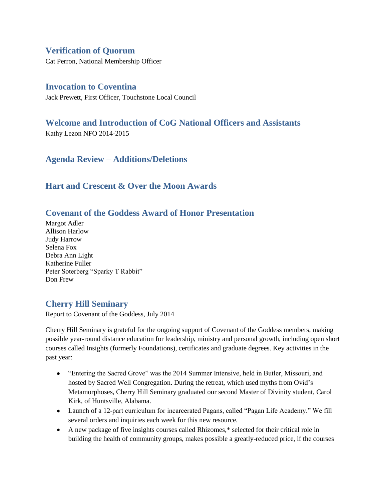# **Verification of Quorum**

Cat Perron, National Membership Officer

# **Invocation to Coventina**

Jack Prewett, First Officer, Touchstone Local Council

# **Welcome and Introduction of CoG National Officers and Assistants**

Kathy Lezon NFO 2014-2015

**Agenda Review – Additions/Deletions**

# **Hart and Crescent & Over the Moon Awards**

# **Covenant of the Goddess Award of Honor Presentation**

Margot Adler Allison Harlow Judy Harrow Selena Fox Debra Ann Light Katherine Fuller Peter Soterberg "Sparky T Rabbit" Don Frew

# **Cherry Hill Seminary**

Report to Covenant of the Goddess, July 2014

Cherry Hill Seminary is grateful for the ongoing support of Covenant of the Goddess members, making possible year-round distance education for leadership, ministry and personal growth, including open short courses called Insights (formerly Foundations), certificates and graduate degrees. Key activities in the past year:

- "Entering the Sacred Grove" was the 2014 Summer Intensive, held in Butler, Missouri, and hosted by Sacred Well Congregation. During the retreat, which used myths from Ovid's Metamorphoses, Cherry Hill Seminary graduated our second Master of Divinity student, Carol Kirk, of Huntsville, Alabama.
- Launch of a 12-part curriculum for incarcerated Pagans, called "Pagan Life Academy." We fill several orders and inquiries each week for this new resource.
- A new package of five insights courses called Rhizomes,\* selected for their critical role in building the health of community groups, makes possible a greatly-reduced price, if the courses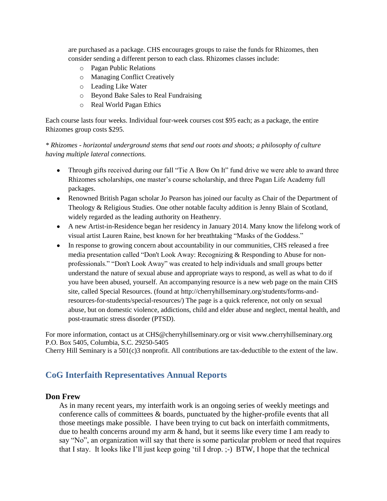are purchased as a package. CHS encourages groups to raise the funds for Rhizomes, then consider sending a different person to each class. Rhizomes classes include:

- o Pagan Public Relations
- o Managing Conflict Creatively
- o Leading Like Water
- o Beyond Bake Sales to Real Fundraising
- o Real World Pagan Ethics

Each course lasts four weeks. Individual four-week courses cost \$95 each; as a package, the entire Rhizomes group costs \$295.

*\* Rhizomes - horizontal underground stems that send out roots and shoots; a philosophy of culture having multiple lateral connections.*

- Through gifts received during our fall "Tie A Bow On It" fund drive we were able to award three Rhizomes scholarships, one master's course scholarship, and three Pagan Life Academy full packages.
- Renowned British Pagan scholar Jo Pearson has joined our faculty as Chair of the Department of Theology & Religious Studies. One other notable faculty addition is Jenny Blain of Scotland, widely regarded as the leading authority on Heathenry.
- A new Artist-in-Residence began her residency in January 2014. Many know the lifelong work of visual artist Lauren Raine, best known for her breathtaking "Masks of the Goddess."
- In response to growing concern about accountability in our communities, CHS released a free media presentation called "Don't Look Away: Recognizing & Responding to Abuse for nonprofessionals." "Don't Look Away" was created to help individuals and small groups better understand the nature of sexual abuse and appropriate ways to respond, as well as what to do if you have been abused, yourself. An accompanying resource is a new web page on the main CHS site, called Special Resources. (found at http://cherryhillseminary.org/students/forms-andresources-for-students/special-resources/) The page is a quick reference, not only on sexual abuse, but on domestic violence, addictions, child and elder abuse and neglect, mental health, and post-traumatic stress disorder (PTSD).

For more information, contact us at CHS@cherryhillseminary.org or visit www.cherryhillseminary.org P.O. Box 5405, Columbia, S.C. 29250-5405

Cherry Hill Seminary is a 501(c)3 nonprofit. All contributions are tax-deductible to the extent of the law.

# **CoG Interfaith Representatives Annual Reports**

# **Don Frew**

As in many recent years, my interfaith work is an ongoing series of weekly meetings and conference calls of committees & boards, punctuated by the higher-profile events that all those meetings make possible. I have been trying to cut back on interfaith commitments, due to health concerns around my arm & hand, but it seems like every time I am ready to say "No", an organization will say that there is some particular problem or need that requires that I stay. It looks like I'll just keep going 'til I drop. ;-) BTW, I hope that the technical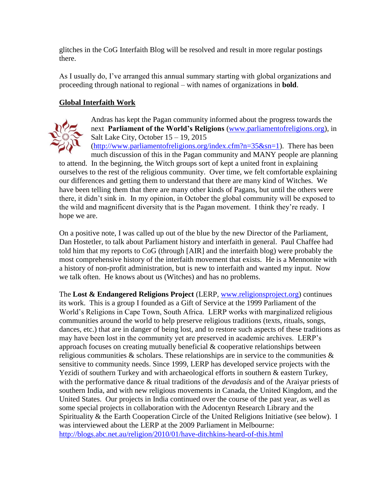glitches in the CoG Interfaith Blog will be resolved and result in more regular postings there.

As I usually do, I've arranged this annual summary starting with global organizations and proceeding through national to regional – with names of organizations in **bold**.

# **Global Interfaith Work**



Andras has kept the Pagan community informed about the progress towards the next **Parliament of the World's Religions** [\(www.parliamentofreligions.org\)](http://www.cog.org/members/GC12/www.parliamentofreligions.org), in Salt Lake City, October 15 – 19, 2015

 $(\frac{http://www.parliamentofreligions.org/index.cfm?n=35&sn=1).$  There has been much discussion of this in the Pagan community and MANY people are planning

to attend. In the beginning, the Witch groups sort of kept a united front in explaining ourselves to the rest of the religious community. Over time, we felt comfortable explaining our differences and getting them to understand that there are many kind of Witches. We have been telling them that there are many other kinds of Pagans, but until the others were there, it didn't sink in. In my opinion, in October the global community will be exposed to the wild and magnificent diversity that is the Pagan movement. I think they're ready. I hope we are.

On a positive note, I was called up out of the blue by the new Director of the Parliament, Dan Hostetler, to talk about Parliament history and interfaith in general. Paul Chaffee had told him that my reports to CoG (through [AIR] and the interfaith blog) were probably the most comprehensive history of the interfaith movement that exists. He is a Mennonite with a history of non-profit administration, but is new to interfaith and wanted my input. Now we talk often. He knows about us (Witches) and has no problems.

The **Lost & Endangered Religions Project** (LERP, [www.religionsproject.org\)](http://www.cog.org/members/GC12/www.religionsproject.org) continues its work. This is a group I founded as a Gift of Service at the 1999 Parliament of the World's Religions in Cape Town, South Africa. LERP works with marginalized religious communities around the world to help preserve religious traditions (texts, rituals, songs, dances, etc.) that are in danger of being lost, and to restore such aspects of these traditions as may have been lost in the community yet are preserved in academic archives. LERP's approach focuses on creating mutually beneficial & cooperative relationships between religious communities  $\&$  scholars. These relationships are in service to the communities  $\&$ sensitive to community needs. Since 1999, LERP has developed service projects with the Yezidi of southern Turkey and with archaeological efforts in southern & eastern Turkey, with the performative dance & ritual traditions of the *devadasis* and of the Araiyar priests of southern India, and with new religious movements in Canada, the United Kingdom, and the United States. Our projects in India continued over the course of the past year, as well as some special projects in collaboration with the Adocentyn Research Library and the Spirituality & the Earth Cooperation Circle of the United Religions Initiative (see below). I was interviewed about the LERP at the 2009 Parliament in Melbourne: <http://blogs.abc.net.au/religion/2010/01/have-ditchkins-heard-of-this.html>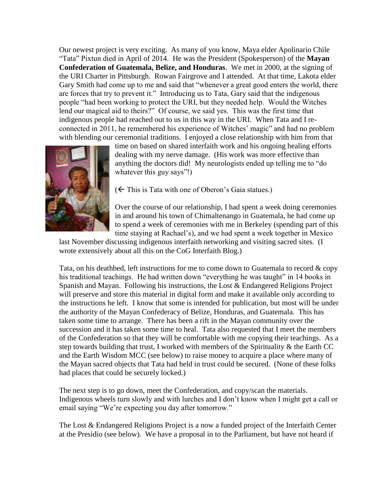Our newest project is very exciting. As many of you know, Maya elder Apolinario Chile "Tata" Pixtun died in April of 2014. He was the President (Spokesperson) of the **Mayan Confederation of Guatemala, Belize, and Honduras**. We met in 2000, at the signing of the URI Charter in Pittsburgh. Rowan Fairgrove and I attended. At that time, Lakota elder Gary Smith had come up to me and said that "whenever a great good enters the world, there are forces that try to prevent it." Introducing us to Tata, Gary said that the indigenous people "had been working to protect the URI, but they needed help. Would the Witches lend our magical aid to theirs?" Of course, we said yes. This was the first time that indigenous people had reached out to us in this way in the URI. When Tata and I reconnected in 2011, he remembered his experience of Witches' magic" and had no problem with blending our ceremonial traditions. I enjoyed a close relationship with him from that



time on based on shared interfaith work and his ongoing healing efforts dealing with my nerve damage. (His work was more effective than anything the doctors did! My neurologists ended up telling me to "do whatever this guy says"!)

 $(\leftarrow)$  This is Tata with one of Oberon's Gaia statues.)

Over the course of our relationship, I had spent a week doing ceremonies in and around his town of Chimaltenango in Guatemala, he had come up to spend a week of ceremonies with me in Berkeley (spending part of this time staying at Rachael's), and we had spent a week together in Mexico

last November discussing indigenous interfaith networking and visiting sacred sites. (I wrote extensively about all this on the CoG Interfaith Blog.)

Tata, on his deathbed, left instructions for me to come down to Guatemala to record  $\& \text{copy}$ his traditional teachings. He had written down "everything he was taught" in 14 books in Spanish and Mayan. Following his instructions, the Lost & Endangered Religions Project will preserve and store this material in digital form and make it available only according to the instructions he left. I know that some is intended for publication, but most will be under the authority of the Mayan Confederacy of Belize, Honduras, and Guatemala. This has taken some time to arrange. There has been a rift in the Mayan community over the succession and it has taken some time to heal. Tata also requested that I meet the members of the Confederation so that they will be comfortable with me copying their teachings. As a step towards building that trust, I worked with members of the Spirituality & the Earth CC and the Earth Wisdom MCC (see below) to raise money to acquire a place where many of the Mayan sacred objects that Tata had held in trust could be secured. (None of these folks had places that could be securely locked.)

The next step is to go down, meet the Confederation, and copy/scan the materials. Indigenous wheels turn slowly and with lurches and I don't know when I might get a call or email saying "We're expecting you day after tomorrow."

The Lost & Endangered Religions Project is a now a funded project of the Interfaith Center at the Presidio (see below). We have a proposal in to the Parliament, but have not heard if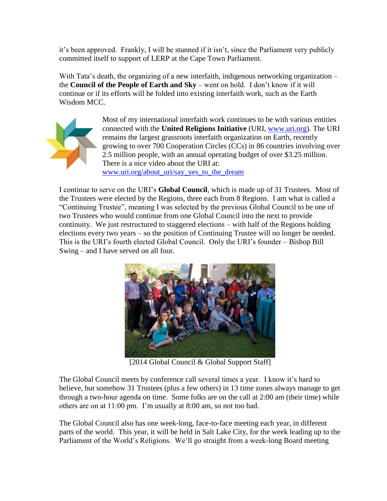it's been approved. Frankly, I will be stunned if it isn't, since the Parliament very publicly committed itself to support of LERP at the Cape Town Parliament.

With Tata's death, the organizing of a new interfaith, indigenous networking organization – the **Council of the People of Earth and Sky** – went on hold. I don't know if it will continue or if its efforts will be folded into existing interfaith work, such as the Earth Wisdom MCC.



Most of my international interfaith work continues to be with various entities connected with the **United Religions Initiative** (URI, [www.uri.org\)](http://www.cog.org/members/GC12/www.uri.org). The URI remains the largest grassroots interfaith organization on Earth, recently growing to over 700 Cooperation Circles (CCs) in 86 countries involving over 2.5 million people, with an annual operating budget of over \$3.25 million. There is a nice video about the URI at: www.uri.org/about\_uri/say\_yes\_to\_the\_dream

I continue to serve on the URI's **Global Council**, which is made up of 31 Trustees. Most of the Trustees were elected by the Regions, three each from 8 Regions. I am what is called a "Continuing Trustee", meaning I was selected by the previous Global Council to be one of two Trustees who would continue from one Global Council into the next to provide continuity. We just restructured to staggered elections – with half of the Regions holding elections every two years – so the position of Continuing Trustee will no longer be needed. This is the URI's fourth elected Global Council. Only the URI's founder – Bishop Bill Swing – and I have served on all four.



[2014 Global Council & Global Support Staff]

The Global Council meets by conference call several times a year. I know it's hard to believe, but somehow 31 Trustees (plus a few others) in 13 time zones always manage to get through a two-hour agenda on time. Some folks are on the call at 2:00 am (their time) while others are on at 11:00 pm. I'm usually at 8:00 am, so not too bad.

The Global Council also has one week-long, face-to-face meeting each year, in different parts of the world. This year, it will be held in Salt Lake City, for the week leading up to the Parliament of the World's Religions. We'll go straight from a week-long Board meeting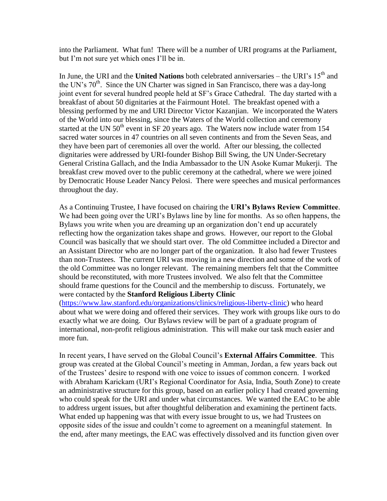into the Parliament. What fun! There will be a number of URI programs at the Parliament, but I'm not sure yet which ones I'll be in.

In June, the URI and the **United Nations** both celebrated anniversaries – the URI's 15<sup>th</sup> and the UN's  $70<sup>th</sup>$ . Since the UN Charter was signed in San Francisco, there was a day-long joint event for several hundred people held at SF's Grace Cathedral. The day started with a breakfast of about 50 dignitaries at the Fairmount Hotel. The breakfast opened with a blessing performed by me and URI Director Victor Kazanjian. We incorporated the Waters of the World into our blessing, since the Waters of the World collection and ceremony started at the UN  $50<sup>th</sup>$  event in SF 20 years ago. The Waters now include water from 154 sacred water sources in 47 countries on all seven continents and from the Seven Seas, and they have been part of ceremonies all over the world. After our blessing, the collected dignitaries were addressed by URI-founder Bishop Bill Swing, the UN Under-Secretary General Cristina Gallach, and the India Ambassador to the UN Asoke Kumar Mukerji. The breakfast crew moved over to the public ceremony at the cathedral, where we were joined by Democratic House Leader Nancy Pelosi. There were speeches and musical performances throughout the day.

As a Continuing Trustee, I have focused on chairing the **URI's Bylaws Review Committee**. We had been going over the URI's Bylaws line by line for months. As so often happens, the Bylaws you write when you are dreaming up an organization don't end up accurately reflecting how the organization takes shape and grows. However, our report to the Global Council was basically that we should start over. The old Committee included a Director and an Assistant Director who are no longer part of the organization. It also had fewer Trustees than non-Trustees. The current URI was moving in a new direction and some of the work of the old Committee was no longer relevant. The remaining members felt that the Committee should be reconstituted, with more Trustees involved. We also felt that the Committee should frame questions for the Council and the membership to discuss. Fortunately, we were contacted by the **Stanford Religious Liberty Clinic** [\(https://www.law.stanford.edu/organizations/clinics/religious-liberty-clinic\)](https://www.law.stanford.edu/organizations/clinics/religious-liberty-clinic) who heard

about what we were doing and offered their services. They work with groups like ours to do exactly what we are doing. Our Bylaws review will be part of a graduate program of international, non-profit religious administration. This will make our task much easier and more fun.

In recent years, I have served on the Global Council's **External Affairs Committee**. This group was created at the Global Council's meeting in Amman, Jordan, a few years back out of the Trustees' desire to respond with one voice to issues of common concern. I worked with Abraham Karickam (URI's Regional Coordinator for Asia, India, South Zone) to create an administrative structure for this group, based on an earlier policy I had created governing who could speak for the URI and under what circumstances. We wanted the EAC to be able to address urgent issues, but after thoughtful deliberation and examining the pertinent facts. What ended up happening was that with every issue brought to us, we had Trustees on opposite sides of the issue and couldn't come to agreement on a meaningful statement. In the end, after many meetings, the EAC was effectively dissolved and its function given over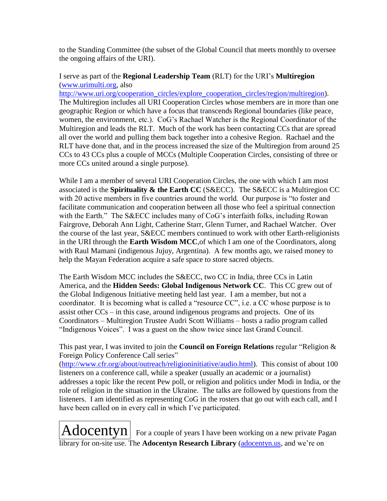to the Standing Committee (the subset of the Global Council that meets monthly to oversee the ongoing affairs of the URI).

### I serve as part of the **Regional Leadership Team** (RLT) for the URI's **Multiregion** [\(www.urimulti.org,](http://www.cog.org/members/GC12/www.urimulti.org) also

[http://www.uri.org/cooperation\\_circles/explore\\_cooperation\\_circles/region/multiregion\)](http://www.uri.org/cooperation_circles/explore_cooperation_circles/region/multiregion). The Multiregion includes all URI Cooperation Circles whose members are in more than one geographic Region or which have a focus that transcends Regional boundaries (like peace, women, the environment, etc.). CoG's Rachael Watcher is the Regional Coordinator of the Multiregion and leads the RLT. Much of the work has been contacting CCs that are spread all over the world and pulling them back together into a cohesive Region. Rachael and the RLT have done that, and in the process increased the size of the Multiregion from around 25 CCs to 43 CCs plus a couple of MCCs (Multiple Cooperation Circles, consisting of three or more CCs united around a single purpose).

While I am a member of several URI Cooperation Circles, the one with which I am most associated is the **Spirituality & the Earth CC** (S&ECC). The S&ECC is a Multiregion CC with 20 active members in five countries around the world. Our purpose is "to foster and facilitate communication and cooperation between all those who feel a spiritual connection with the Earth." The S&ECC includes many of CoG's interfaith folks, including Rowan Fairgrove, Deborah Ann Light, Catherine Starr, Glenn Turner, and Rachael Watcher. Over the course of the last year, S&ECC members continued to work with other Earth-religionists in the URI through the **Earth Wisdom MCC**,of which I am one of the Coordinators, along with Raul Mamani (indigenous Jujuy, Argentina). A few months ago, we raised money to help the Mayan Federation acquire a safe space to store sacred objects.

The Earth Wisdom MCC includes the S&ECC, two CC in India, three CCs in Latin America, and the **Hidden Seeds: Global Indigenous Network CC**. This CC grew out of the Global Indigenous Initiative meeting held last year. I am a member, but not a coordinator. It is becoming what is called a "resource CC", i.e. a CC whose purpose is to assist other CCs – in this case, around indigenous programs and projects. One of its Coordinators – Multiregion Trustee Audri Scott Williams – hosts a radio program called "Indigenous Voices". I was a guest on the show twice since last Grand Council.

This past year, I was invited to join the **Council on Foreign Relations** regular "Religion & Foreign Policy Conference Call series"

[\(http://www.cfr.org/about/outreach/religioninitiative/audio.html\)](http://www.cfr.org/about/outreach/religioninitiative/audio.html). This consist of about 100 listeners on a conference call, while a speaker (usually an academic or a journalist) addresses a topic like the recent Pew poll, or religion and politics under Modi in India, or the role of religion in the situation in the Ukraine. The talks are followed by questions from the listeners. I am identified as representing CoG in the rosters that go out with each call, and I have been called on in every call in which I've participated.

 $\text{Adocentyn}|$  For a couple of years I have been working on a new private Pagan library for on-site use. The **Adocentyn Research Library** (adocentyn.us, and we're on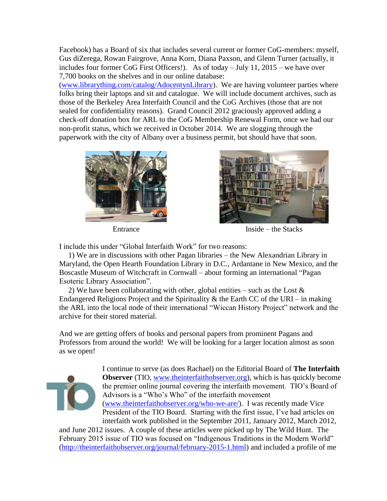Facebook) has a Board of six that includes several current or former CoG-members: myself, Gus diZerega, Rowan Fairgrove, Anna Korn, Diana Paxson, and Glenn Turner (actually, it includes four former CoG First Officers!). As of today – July 11, 2015 – we have over 7,700 books on the shelves and in our online database:

(www.librarything.com/catalog/AdocentynLibrary). We are having volunteer parties where folks bring their laptops and sit and catalogue. We will include document archives, such as those of the Berkeley Area Interfaith Council and the CoG Archives (those that are not sealed for confidentiality reasons). Grand Council 2012 graciously approved adding a check-off donation box for ARL to the CoG Membership Renewal Form, once we had our non-profit status, which we received in October 2014. We are slogging through the paperwork with the city of Albany over a business permit, but should have that soon.





Entrance Inside – the Stacks

I include this under "Global Interfaith Work" for two reasons:

1) We are in discussions with other Pagan libraries – the New Alexandrian Library in Maryland, the Open Hearth Foundation Library in D.C., Ardantane in New Mexico, and the Boscastle Museum of Witchcraft in Cornwall – about forming an international "Pagan Esoteric Library Association".

2) We have been collaborating with other, global entities – such as the Lost  $\&$ Endangered Religions Project and the Spirituality  $\&$  the Earth CC of the URI – in making the ARL into the local node of their international "Wiccan History Project" network and the archive for their stored material.

And we are getting offers of books and personal papers from prominent Pagans and Professors from around the world! We will be looking for a larger location almost as soon as we open!



I continue to serve (as does Rachael) on the Editorial Board of **The Interfaith Observer** (TIO, [www.theinterfaithobserver.org\)](http://www.cog.org/members/GC12/www.theinterfaithobserver.org), which is has quickly become the premier online journal covering the interfaith movement. TIO's Board of Advisors is a "Who's Who" of the interfaith movement [\(www.theinterfaithobserver.org/who-we-are/\)](http://www.cog.org/members/GC12/www.theinterfaithobserver.org/who-we-are/). I was recently made Vice President of the TIO Board. Starting with the first issue, I've had articles on interfaith work published in the September 2011, January 2012, March 2012,

and June 2012 issues. A couple of these articles were picked up by The Wild Hunt. The February 2015 issue of TIO was focused on "Indigenous Traditions in the Modern World" [\(http://theinterfaithobserver.org/journal/february-2015-1.html\)](http://theinterfaithobserver.org/journal/february-2015-1.html) and included a profile of me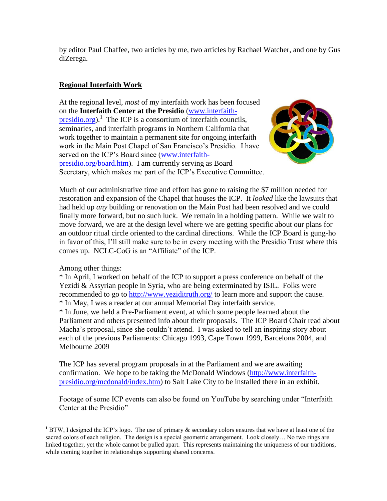by editor Paul Chaffee, two articles by me, two articles by Rachael Watcher, and one by Gus diZerega.

# **Regional Interfaith Work**

At the regional level, *most* of my interfaith work has been focused on the **Interfaith Center at the Presidio** [\(www.interfaith](http://www.cog.org/members/GC12/www.interfaith-presidio.org) $presidio.org$ <sup>1</sup>. The ICP is a consortium of interfaith councils, seminaries, and interfaith programs in Northern California that work together to maintain a permanent site for ongoing interfaith work in the Main Post Chapel of San Francisco's Presidio. I have served on the ICP's Board since [\(www.interfaith](http://www.cog.org/members/GC12/www.interfaith-presidio.org/board.htm)[presidio.org/board.htm\)](http://www.cog.org/members/GC12/www.interfaith-presidio.org/board.htm). I am currently serving as Board Secretary, which makes me part of the ICP's Executive Committee.



Much of our administrative time and effort has gone to raising the \$7 million needed for restoration and expansion of the Chapel that houses the ICP. It *looked* like the lawsuits that had held up *any* building or renovation on the Main Post had been resolved and we could finally more forward, but no such luck. We remain in a holding pattern. While we wait to move forward, we are at the design level where we are getting specific about our plans for an outdoor ritual circle oriented to the cardinal directions. While the ICP Board is gung-ho in favor of this, I'll still make sure to be in every meeting with the Presidio Trust where this comes up. NCLC-CoG is an "Affiliate" of the ICP.

Among other things:

 $\overline{\phantom{a}}$ 

\* In April, I worked on behalf of the ICP to support a press conference on behalf of the Yezidi & Assyrian people in Syria, who are being exterminated by ISIL. Folks were recommended to go to<http://www.yeziditruth.org/> to learn more and support the cause. \* In May, I was a reader at our annual Memorial Day interfaith service.

\* In June, we held a Pre-Parliament event, at which some people learned about the Parliament and others presented info about their proposals. The ICP Board Chair read about

Macha's proposal, since she couldn't attend. I was asked to tell an inspiring story about each of the previous Parliaments: Chicago 1993, Cape Town 1999, Barcelona 2004, and Melbourne 2009

The ICP has several program proposals in at the Parliament and we are awaiting confirmation. We hope to be taking the McDonald Windows [\(http://www.interfaith](http://www.interfaith-presidio.org/mcdonald/index.htm)[presidio.org/mcdonald/index.htm\)](http://www.interfaith-presidio.org/mcdonald/index.htm) to Salt Lake City to be installed there in an exhibit.

Footage of some ICP events can also be found on YouTube by searching under "Interfaith Center at the Presidio"

<sup>&</sup>lt;sup>1</sup> BTW, I designed the ICP's logo. The use of primary & secondary colors ensures that we have at least one of the sacred colors of each religion. The design is a special geometric arrangement. Look closely… No two rings are linked together, yet the whole cannot be pulled apart. This represents maintaining the uniqueness of our traditions, while coming together in relationships supporting shared concerns.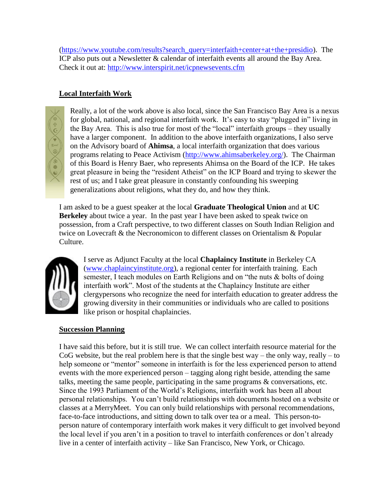[\(https://www.youtube.com/results?search\\_query=interfaith+center+at+the+presidio\)](https://www.youtube.com/results?search_query=interfaith+center+at+the+presidio). The ICP also puts out a Newsletter & calendar of interfaith events all around the Bay Area. Check it out at:<http://www.interspirit.net/icpnewsevents.cfm>

# **Local Interfaith Work**



Really, a lot of the work above is also local, since the San Francisco Bay Area is a nexus for global, national, and regional interfaith work. It's easy to stay "plugged in" living in the Bay Area. This is also true for most of the "local" interfaith groups – they usually have a larger component. In addition to the above interfaith organizations, I also serve on the Advisory board of **Ahimsa**, a local interfaith organization that does various programs relating to Peace Activism [\(http://www.ahimsaberkeley.org/\)](http://www.ahimsaberkeley.org/). The Chairman of this Board is Henry Baer, who represents Ahimsa on the Board of the ICP. He takes great pleasure in being the "resident Atheist" on the ICP Board and trying to skewer the rest of us; and I take great pleasure in constantly confounding his sweeping generalizations about religions, what they do, and how they think.

I am asked to be a guest speaker at the local **Graduate Theological Union** and at **UC Berkeley** about twice a year. In the past year I have been asked to speak twice on possession, from a Craft perspective, to two different classes on South Indian Religion and twice on Lovecraft & the Necronomicon to different classes on Orientalism & Popular Culture.



I serve as Adjunct Faculty at the local **Chaplaincy Institute** in Berkeley CA [\(www.chaplaincyinstitute.org\)](http://www.cog.org/members/GC12/www.chaplaincyinstitute.org), a regional center for interfaith training. Each semester, I teach modules on Earth Religions and on "the nuts & bolts of doing interfaith work". Most of the students at the Chaplaincy Institute are either clergypersons who recognize the need for interfaith education to greater address the growing diversity in their communities or individuals who are called to positions like prison or hospital chaplaincies.

# **Succession Planning**

I have said this before, but it is still true. We can collect interfaith resource material for the CoG website, but the real problem here is that the single best way – the only way, really – to help someone or "mentor" someone in interfaith is for the less experienced person to attend events with the more experienced person – tagging along right beside, attending the same talks, meeting the same people, participating in the same programs & conversations, etc. Since the 1993 Parliament of the World's Religions, interfaith work has been all about personal relationships. You can't build relationships with documents hosted on a website or classes at a MerryMeet. You can only build relationships with personal recommendations, face-to-face introductions, and sitting down to talk over tea or a meal. This person-toperson nature of contemporary interfaith work makes it very difficult to get involved beyond the local level if you aren't in a position to travel to interfaith conferences or don't already live in a center of interfaith activity – like San Francisco, New York, or Chicago.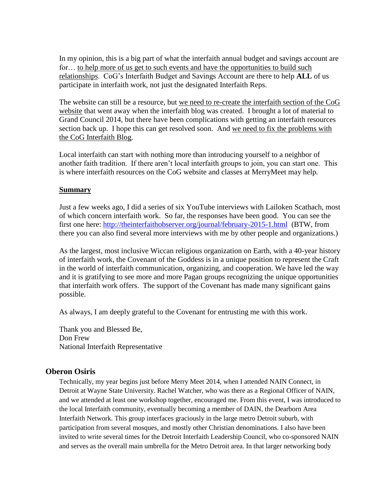In my opinion, this is a big part of what the interfaith annual budget and savings account are for... to help more of us get to such events and have the opportunities to build such relationships. CoG's Interfaith Budget and Savings Account are there to help **ALL** of us participate in interfaith work, not just the designated Interfaith Reps.

The website can still be a resource, but we need to re-create the interfaith section of the CoG website that went away when the interfaith blog was created. I brought a lot of material to Grand Council 2014, but there have been complications with getting an interfaith resources section back up. I hope this can get resolved soon. And we need to fix the problems with the CoG Interfaith Blog.

Local interfaith can start with nothing more than introducing yourself to a neighbor of another faith tradition. If there aren't local interfaith groups to join, you can start one. This is where interfaith resources on the CoG website and classes at MerryMeet may help.

### **Summary**

Just a few weeks ago, I did a series of six YouTube interviews with Lailoken Scathach, most of which concern interfaith work. So far, the responses have been good. You can see the first one here:<http://theinterfaithobserver.org/journal/february-2015-1.html>(BTW, from there you can also find several more interviews with me by other people and organizations.)

As the largest, most inclusive Wiccan religious organization on Earth, with a 40-year history of interfaith work, the Covenant of the Goddess is in a unique position to represent the Craft in the world of interfaith communication, organizing, and cooperation. We have led the way and it is gratifying to see more and more Pagan groups recognizing the unique opportunities that interfaith work offers. The support of the Covenant has made many significant gains possible.

As always, I am deeply grateful to the Covenant for entrusting me with this work.

Thank you and Blessed Be, Don Frew National Interfaith Representative

# **Oberon Osiris**

Technically, my year begins just before Merry Meet 2014, when I attended NAIN Connect, in Detroit at Wayne State University. Rachel Watcher, who was there as a Regional Officer of NAIN, and we attended at least one workshop together, encouraged me. From this event, I was introduced to the local Interfaith community, eventually becoming a member of DAIN, the Dearborn Area Interfaith Network. This group interfaces graciously in the large metro Detroit suburb, with participation from several mosques, and mostly other Christian denominations. I also have been invited to write several times for the Detroit Interfaith Leadership Council, who co-sponsored NAIN and serves as the overall main umbrella for the Metro Detroit area. In that larger networking body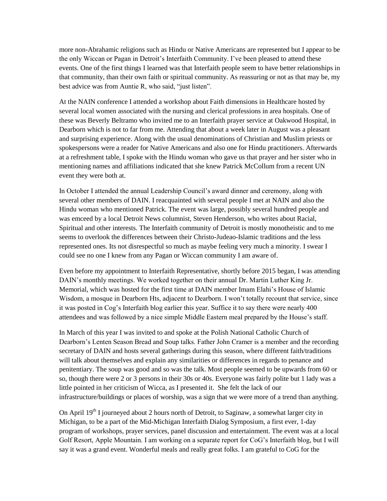more non-Abrahamic religions such as Hindu or Native Americans are represented but I appear to be the only Wiccan or Pagan in Detroit's Interfaith Community. I've been pleased to attend these events. One of the first things I learned was that Interfaith people seem to have better relationships in that community, than their own faith or spiritual community. As reassuring or not as that may be, my best advice was from Auntie R, who said, "just listen".

At the NAIN conference I attended a workshop about Faith dimensions in Healthcare hosted by several local women associated with the nursing and clerical professions in area hospitals. One of these was Beverly Beltramo who invited me to an Interfaith prayer service at Oakwood Hospital, in Dearborn which is not to far from me. Attending that about a week later in August was a pleasant and surprising experience. Along with the usual denominations of Christian and Muslim priests or spokespersons were a reader for Native Americans and also one for Hindu practitioners. Afterwards at a refreshment table, I spoke with the Hindu woman who gave us that prayer and her sister who in mentioning names and affiliations indicated that she knew Patrick McCollum from a recent UN event they were both at.

In October I attended the annual Leadership Council's award dinner and ceremony, along with several other members of DAIN. I reacquainted with several people I met at NAIN and also the Hindu woman who mentioned Patrick. The event was large, possibly several hundred people and was emceed by a local Detroit News columnist, Steven Henderson, who writes about Racial, Spiritual and other interests. The Interfaith community of Detroit is mostly monotheistic and to me seems to overlook the differences between their Christo-Judeao-Islamic traditions and the less represented ones. Its not disrespectful so much as maybe feeling very much a minority. I swear I could see no one I knew from any Pagan or Wiccan community I am aware of.

Even before my appointment to Interfaith Representative, shortly before 2015 began, I was attending DAIN's monthly meetings. We worked together on their annual Dr. Martin Luther King Jr. Memorial, which was hosted for the first time at DAIN member Imam Elahi's House of Islamic Wisdom, a mosque in Dearborn Hts, adjacent to Dearborn. I won't totally recount that service, since it was posted in Cog's Interfaith blog earlier this year. Suffice it to say there were nearly 400 attendees and was followed by a nice simple Middle Eastern meal prepared by the House's staff.

In March of this year I was invited to and spoke at the Polish National Catholic Church of Dearborn's Lenten Season Bread and Soup talks. Father John Cramer is a member and the recording secretary of DAIN and hosts several gatherings during this season, where different faith/traditions will talk about themselves and explain any similarities or differences in regards to penance and penitentiary. The soup was good and so was the talk. Most people seemed to be upwards from 60 or so, though there were 2 or 3 persons in their 30s or 40s. Everyone was fairly polite but 1 lady was a little pointed in her criticism of Wicca, as I presented it. She felt the lack of our infrastructure/buildings or places of worship, was a sign that we were more of a trend than anything.

On April  $19<sup>th</sup>$  I journeyed about 2 hours north of Detroit, to Saginaw, a somewhat larger city in Michigan, to be a part of the Mid-Michigan Interfaith Dialog Symposium, a first ever, 1-day program of workshops, prayer services, panel discussion and entertainment. The event was at a local Golf Resort, Apple Mountain. I am working on a separate report for CoG's Interfaith blog, but I will say it was a grand event. Wonderful meals and really great folks. I am grateful to CoG for the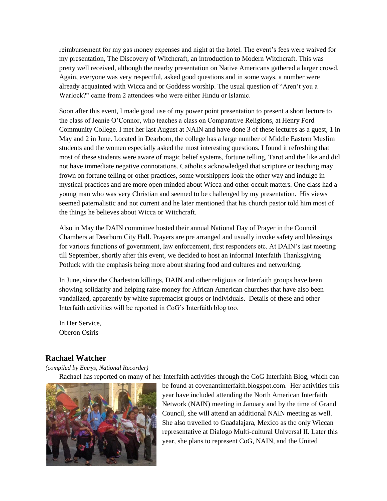reimbursement for my gas money expenses and night at the hotel. The event's fees were waived for my presentation, The Discovery of Witchcraft, an introduction to Modern Witchcraft. This was pretty well received, although the nearby presentation on Native Americans gathered a larger crowd. Again, everyone was very respectful, asked good questions and in some ways, a number were already acquainted with Wicca and or Goddess worship. The usual question of "Aren't you a Warlock?" came from 2 attendees who were either Hindu or Islamic.

Soon after this event, I made good use of my power point presentation to present a short lecture to the class of Jeanie O'Connor, who teaches a class on Comparative Religions, at Henry Ford Community College. I met her last August at NAIN and have done 3 of these lectures as a guest, 1 in May and 2 in June. Located in Dearborn, the college has a large number of Middle Eastern Muslim students and the women especially asked the most interesting questions. I found it refreshing that most of these students were aware of magic belief systems, fortune telling, Tarot and the like and did not have immediate negative connotations. Catholics acknowledged that scripture or teaching may frown on fortune telling or other practices, some worshippers look the other way and indulge in mystical practices and are more open minded about Wicca and other occult matters. One class had a young man who was very Christian and seemed to be challenged by my presentation. His views seemed paternalistic and not current and he later mentioned that his church pastor told him most of the things he believes about Wicca or Witchcraft.

Also in May the DAIN committee hosted their annual National Day of Prayer in the Council Chambers at Dearborn City Hall. Prayers are pre arranged and usually invoke safety and blessings for various functions of government, law enforcement, first responders etc. At DAIN's last meeting till September, shortly after this event, we decided to host an informal Interfaith Thanksgiving Potluck with the emphasis being more about sharing food and cultures and networking.

In June, since the Charleston killings, DAIN and other religious or Interfaith groups have been showing solidarity and helping raise money for African American churches that have also been vandalized, apparently by white supremacist groups or individuals. Details of these and other Interfaith activities will be reported in CoG's Interfaith blog too.

In Her Service, Oberon Osiris

# **Rachael Watcher**

*(compiled by Emrys, National Recorder)*

Rachael has reported on many of her Interfaith activities through the CoG Interfaith Blog, which can



be found at covenantinterfaith.blogspot.com. Her activities this year have included attending the North American Interfaith Network (NAIN) meeting in January and by the time of Grand Council, she will attend an additional NAIN meeting as well. She also travelled to Guadalajara, Mexico as the only Wiccan representative at Dialogo Multi-cultural Universal II. Later this year, she plans to represent CoG, NAIN, and the United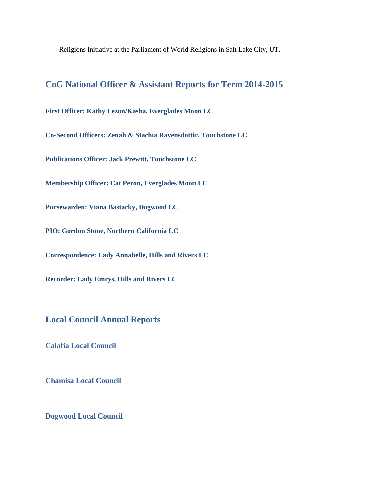Religions Initiative at the Parliament of World Religions in Salt Lake City, UT.

# **CoG National Officer & Assistant Reports for Term 2014-2015**

**First Officer: Kathy Lezon/Kasha, Everglades Moon LC**

**Co-Second Officers: Zenah & Stachia Ravensdottir, Touchstone LC**

**Publications Officer: Jack Prewitt, Touchstone LC**

**Membership Officer: Cat Peron, Everglades Moon LC**

**Pursewarden: Viana Bastacky, Dogwood LC**

**PIO: Gordon Stone, Northern California LC**

**Correspondence: Lady Annabelle, Hills and Rivers LC**

**Recorder: Lady Emrys, Hills and Rivers LC**

**Local Council Annual Reports**

**Calafia Local Council**

**Chamisa Local Council**

**Dogwood Local Council**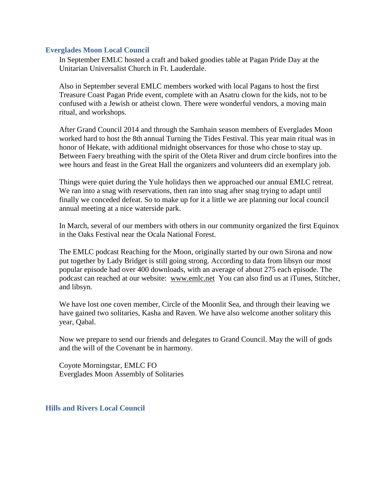#### **Everglades Moon Local Council**

In September EMLC hosted a craft and baked goodies table at Pagan Pride Day at the Unitarian Universalist Church in Ft. Lauderdale.

Also in September several EMLC members worked with local Pagans to host the first Treasure Coast Pagan Pride event, complete with an Asatru clown for the kids, not to be confused with a Jewish or atheist clown. There were wonderful vendors, a moving main ritual, and workshops.

After Grand Council 2014 and through the Samhain season members of Everglades Moon worked hard to host the 8th annual Turning the Tides Festival. This year main ritual was in honor of Hekate, with additional midnight observances for those who chose to stay up. Between Faery breathing with the spirit of the Oleta River and drum circle bonfires into the wee hours and feast in the Great Hall the organizers and volunteers did an exemplary job.

Things were quiet during the Yule holidays then we approached our annual EMLC retreat. We ran into a snag with reservations, then ran into snag after snag trying to adapt until finally we conceded defeat. So to make up for it a little we are planning our local council annual meeting at a nice waterside park.

In March, several of our members with others in our community organized the first Equinox in the Oaks Festival near the Ocala National Forest.

The EMLC podcast Reaching for the Moon, originally started by our own Sirona and now put together by Lady Bridget is still going strong. According to data from libsyn our most popular episode had over 400 downloads, with an average of about 275 each episode. The podcast can reached at our website: [www.emlc.net](http://www.google.com/url?q=http%3A%2F%2Fwww.emlc.net&sa=D&sntz=1&usg=AFQjCNG2E9nzXz1dNJ2EydJxcVyVMRrW-A) You can also find us at iTunes, Stitcher, and libsyn.

We have lost one coven member, Circle of the Moonlit Sea, and through their leaving we have gained two solitaries, Kasha and Raven. We have also welcome another solitary this year, Qabal.

Now we prepare to send our friends and delegates to Grand Council. May the will of gods and the will of the Covenant be in harmony.

Coyote Morningstar, EMLC FO Everglades Moon Assembly of Solitaries

#### **Hills and Rivers Local Council**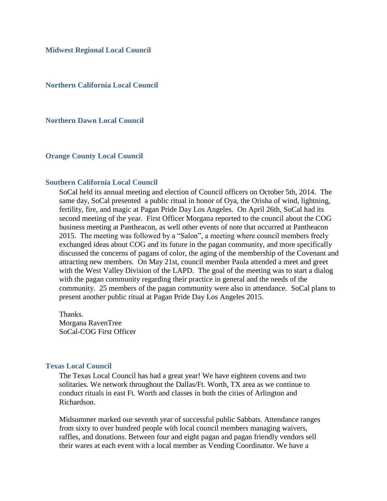**Midwest Regional Local Council**

**Northern California Local Council**

**Northern Dawn Local Council**

**Orange County Local Council**

#### **Southern California Local Council**

SoCal held its annual meeting and election of Council officers on October 5th, 2014. The same day, SoCal presented a public ritual in honor of Oya, the Orisha of wind, lightning, fertility, fire, and magic at Pagan Pride Day Los Angeles. On April 26th, SoCal had its second meeting of the year. First Officer Morgana reported to the council about the COG business meeting at Pantheacon, as well other events of note that occurred at Pantheacon 2015. The meeting was followed by a "Salon", a meeting where council members freely exchanged ideas about COG and its future in the pagan community, and more specifically discussed the concerns of pagans of color, the aging of the membership of the Covenant and attracting new members. On May 21st, council member Paula attended a meet and greet with the West Valley Division of the LAPD. The goal of the meeting was to start a dialog with the pagan community regarding their practice in general and the needs of the community. 25 members of the pagan community were also in attendance. SoCal plans to present another public ritual at Pagan Pride Day Los Angeles 2015.

Thanks. Morgana RavenTree SoCal-COG First Officer

#### **Texas Local Council**

The Texas Local Council has had a great year! We have eighteen covens and two solitaries. We network throughout the Dallas/Ft. Worth, TX area as we continue to conduct rituals in east Ft. Worth and classes in both the cities of Arlington and Richardson.

Midsummer marked our seventh year of successful public Sabbats. Attendance ranges from sixty to over hundred people with local council members managing waivers, raffles, and donations. Between four and eight pagan and pagan friendly vendors sell their wares at each event with a local member as Vending Coordinator. We have a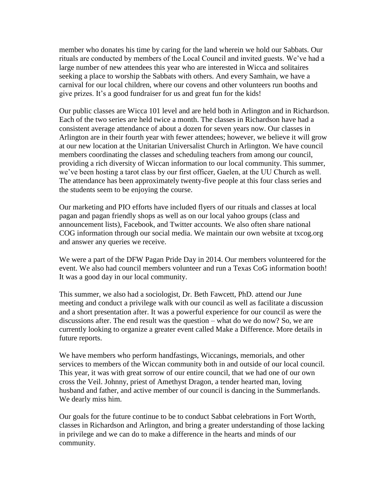member who donates his time by caring for the land wherein we hold our Sabbats. Our rituals are conducted by members of the Local Council and invited guests. We've had a large number of new attendees this year who are interested in Wicca and solitaires seeking a place to worship the Sabbats with others. And every Samhain, we have a carnival for our local children, where our covens and other volunteers run booths and give prizes. It's a good fundraiser for us and great fun for the kids!

Our public classes are Wicca 101 level and are held both in Arlington and in Richardson. Each of the two series are held twice a month. The classes in Richardson have had a consistent average attendance of about a dozen for seven years now. Our classes in Arlington are in their fourth year with fewer attendees; however, we believe it will grow at our new location at the Unitarian Universalist Church in Arlington. We have council members coordinating the classes and scheduling teachers from among our council, providing a rich diversity of Wiccan information to our local community. This summer, we've been hosting a tarot class by our first officer, Gaelen, at the UU Church as well. The attendance has been approximately twenty-five people at this four class series and the students seem to be enjoying the course.

Our marketing and PIO efforts have included flyers of our rituals and classes at local pagan and pagan friendly shops as well as on our local yahoo groups (class and announcement lists), Facebook, and Twitter accounts. We also often share national COG information through our social media. We maintain our own website at txcog.org and answer any queries we receive.

We were a part of the DFW Pagan Pride Day in 2014. Our members volunteered for the event. We also had council members volunteer and run a Texas CoG information booth! It was a good day in our local community.

This summer, we also had a sociologist, Dr. Beth Fawcett, PhD. attend our June meeting and conduct a privilege walk with our council as well as facilitate a discussion and a short presentation after. It was a powerful experience for our council as were the discussions after. The end result was the question – what do we do now? So, we are currently looking to organize a greater event called Make a Difference. More details in future reports.

We have members who perform handfastings, Wiccanings, memorials, and other services to members of the Wiccan community both in and outside of our local council. This year, it was with great sorrow of our entire council, that we had one of our own cross the Veil. Johnny, priest of Amethyst Dragon, a tender hearted man, loving husband and father, and active member of our council is dancing in the Summerlands. We dearly miss him.

Our goals for the future continue to be to conduct Sabbat celebrations in Fort Worth, classes in Richardson and Arlington, and bring a greater understanding of those lacking in privilege and we can do to make a difference in the hearts and minds of our community.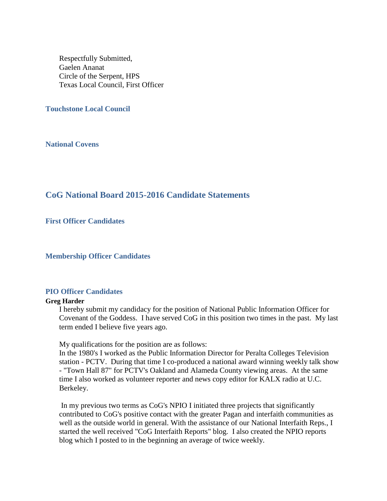Respectfully Submitted, Gaelen Ananat Circle of the Serpent, HPS Texas Local Council, First Officer

**Touchstone Local Council**

**National Covens**

# **CoG National Board 2015-2016 Candidate Statements**

**First Officer Candidates**

**Membership Officer Candidates**

#### **PIO Officer Candidates**

#### **Greg Harder**

I hereby submit my candidacy for the position of National Public Information Officer for Covenant of the Goddess. I have served CoG in this position two times in the past. My last term ended I believe five years ago.

My qualifications for the position are as follows:

In the 1980's I worked as the Public Information Director for Peralta Colleges Television station - PCTV. During that time I co-produced a national award winning weekly talk show - "Town Hall 87" for PCTV's Oakland and Alameda County viewing areas. At the same time I also worked as volunteer reporter and news copy editor for KALX radio at U.C. Berkeley.

In my previous two terms as CoG's NPIO I initiated three projects that significantly contributed to CoG's positive contact with the greater Pagan and interfaith communities as well as the outside world in general. With the assistance of our National Interfaith Reps., I started the well received "CoG Interfaith Reports" blog. I also created the NPIO reports blog which I posted to in the beginning an average of twice weekly.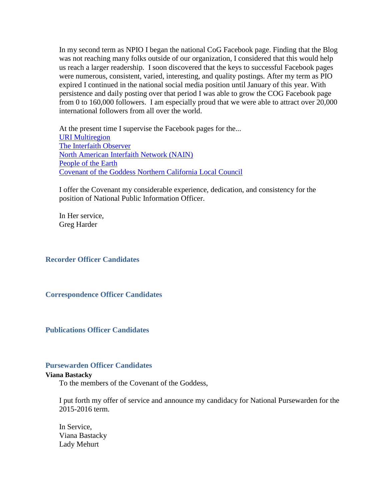In my second term as NPIO I began the national CoG Facebook page. Finding that the Blog was not reaching many folks outside of our organization, I considered that this would help us reach a larger readership. I soon discovered that the keys to successful Facebook pages were numerous, consistent, varied, interesting, and quality postings. After my term as PIO expired I continued in the national social media position until January of this year. With persistence and daily posting over that period I was able to grow the COG Facebook page from 0 to 160,000 followers. I am especially proud that we were able to attract over 20,000 international followers from all over the world.

At the present time I supervise the Facebook pages for the... [URI Multiregion](https://www.google.com/url?q=https%3A%2F%2Fwww.facebook.com%2Fpages%2FURI-Multiregion%2F213048748859868&sa=D&sntz=1&usg=AFQjCNHEgXh3f719uD7qNY9mCdvOrPOv-A) [The Interfaith Observer](https://www.google.com/url?q=https%3A%2F%2Fwww.facebook.com%2Finterfaithobserver&sa=D&sntz=1&usg=AFQjCNFLPxTLq8TXtCsKQ3_K7lH1VDhq_A) [North American Interfaith Network \(NAIN\)](https://www.google.com/url?q=https%3A%2F%2Fwww.facebook.com%2FNAINConnect&sa=D&sntz=1&usg=AFQjCNHIG346XIa3QP9Tys2pAR6zru1u9A) [People of the Earth](https://www.google.com/url?q=https%3A%2F%2Fwww.facebook.com%2Fpages%2FPeople-of-the-Earth%2F145387672177471&sa=D&sntz=1&usg=AFQjCNFk856PLtsIgieyuq4HmfSOVfye2g) [Covenant of the Goddess Northern California Local Council](https://www.google.com/url?q=https%3A%2F%2Fwww.facebook.com%2Fpages%2FCovenant-of-the-Goddess-Northern-California-Local-Council%2F136932419699946&sa=D&sntz=1&usg=AFQjCNFj3HIj3X7FToIiYxUbYtZcVcswLQ)

I offer the Covenant my considerable experience, dedication, and consistency for the position of National Public Information Officer.

In Her service, Greg Harder

**Recorder Officer Candidates**

**Correspondence Officer Candidates**

**Publications Officer Candidates**

#### **Pursewarden Officer Candidates**

#### **Viana Bastacky**

To the members of the Covenant of the Goddess,

I put forth my offer of service and announce my candidacy for National Pursewarden for the 2015-2016 term.

In Service, Viana Bastacky Lady Mehurt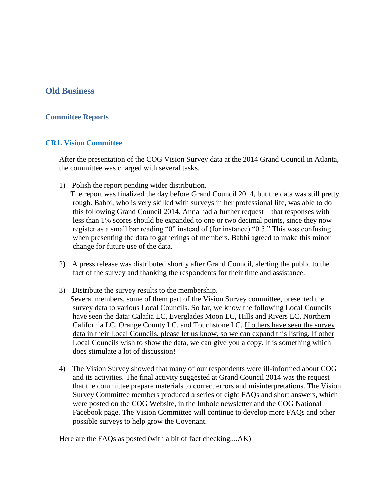# **Old Business**

### **Committee Reports**

### **CR1. Vision Committee**

After the presentation of the COG Vision Survey data at the 2014 Grand Council in Atlanta, the committee was charged with several tasks.

1) Polish the report pending wider distribution.

 The report was finalized the day before Grand Council 2014, but the data was still pretty rough. Babbi, who is very skilled with surveys in her professional life, was able to do this following Grand Council 2014. Anna had a further request—that responses with less than 1% scores should be expanded to one or two decimal points, since they now register as a small bar reading "0" instead of (for instance) "0.5." This was confusing when presenting the data to gatherings of members. Babbi agreed to make this minor change for future use of the data.

- 2) A press release was distributed shortly after Grand Council, alerting the public to the fact of the survey and thanking the respondents for their time and assistance.
- 3) Distribute the survey results to the membership. Several members, some of them part of the Vision Survey committee, presented the survey data to various Local Councils. So far, we know the following Local Councils have seen the data: Calafia LC, Everglades Moon LC, Hills and Rivers LC, Northern California LC, Orange County LC, and Touchstone LC. If others have seen the survey data in their Local Councils, please let us know, so we can expand this listing. If other Local Councils wish to show the data, we can give you a copy. It is something which does stimulate a lot of discussion!
- 4) The Vision Survey showed that many of our respondents were ill-informed about COG and its activities. The final activity suggested at Grand Council 2014 was the request that the committee prepare materials to correct errors and misinterpretations. The Vision Survey Committee members produced a series of eight FAQs and short answers, which were posted on the COG Website, in the Imbolc newsletter and the COG National Facebook page. The Vision Committee will continue to develop more FAQs and other possible surveys to help grow the Covenant.

Here are the FAQs as posted (with a bit of fact checking....AK)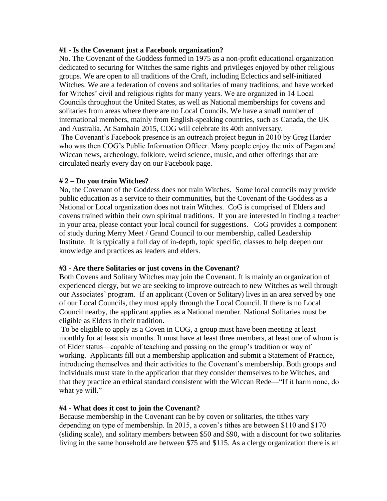### **#1 - Is the Covenant just a Facebook organization?**

No. The Covenant of the Goddess formed in 1975 as a non-profit educational organization dedicated to securing for Witches the same rights and privileges enjoyed by other religious groups. We are open to all traditions of the Craft, including Eclectics and self-initiated Witches. We are a federation of covens and solitaries of many traditions, and have worked for Witches' civil and religious rights for many years. We are organized in 14 Local Councils throughout the United States, as well as National memberships for covens and solitaries from areas where there are no Local Councils. We have a small number of international members, mainly from English-speaking countries, such as Canada, the UK and Australia. At Samhain 2015, COG will celebrate its 40th anniversary.

The Covenant's Facebook presence is an outreach project begun in 2010 by Greg Harder who was then COG's Public Information Officer. Many people enjoy the mix of Pagan and Wiccan news, archeology, folklore, weird science, music, and other offerings that are circulated nearly every day on our Facebook page.

### **# 2 – Do you train Witches?**

No, the Covenant of the Goddess does not train Witches. Some local councils may provide public education as a service to their communities, but the Covenant of the Goddess as a National or Local organization does not train Witches. CoG is comprised of Elders and covens trained within their own spiritual traditions. If you are interested in finding a teacher in your area, please contact your local council for suggestions. CoG provides a component of study during Merry Meet / Grand Council to our membership, called Leadership Institute. It is typically a full day of in-depth, topic specific, classes to help deepen our knowledge and practices as leaders and elders.

# **#3 - Are there Solitaries or just covens in the Covenant?**

Both Covens and Solitary Witches may join the Covenant. It is mainly an organization of experienced clergy, but we are seeking to improve outreach to new Witches as well through our Associates' program. If an applicant (Coven or Solitary) lives in an area served by one of our Local Councils, they must apply through the Local Council. If there is no Local Council nearby, the applicant applies as a National member. National Solitaries must be eligible as Elders in their tradition.

To be eligible to apply as a Coven in COG, a group must have been meeting at least monthly for at least six months. It must have at least three members, at least one of whom is of Elder status—capable of teaching and passing on the group's tradition or way of working. Applicants fill out a membership application and submit a Statement of Practice, introducing themselves and their activities to the Covenant's membership. Both groups and individuals must state in the application that they consider themselves to be Witches, and that they practice an ethical standard consistent with the Wiccan Rede—"If it harm none, do what ye will."

# **#4 - What does it cost to join the Covenant?**

Because membership in the Covenant can be by coven or solitaries, the tithes vary depending on type of membership. In 2015, a coven's tithes are between \$110 and \$170 (sliding scale), and solitary members between \$50 and \$90, with a discount for two solitaries living in the same household are between \$75 and \$115. As a clergy organization there is an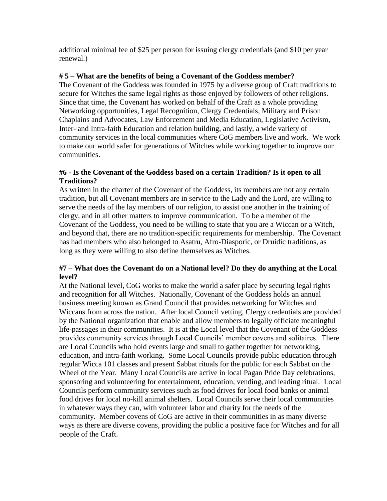additional minimal fee of \$25 per person for issuing clergy credentials (and \$10 per year renewal.)

### **# 5 – What are the benefits of being a Covenant of the Goddess member?**

The Covenant of the Goddess was founded in 1975 by a diverse group of Craft traditions to secure for Witches the same legal rights as those enjoyed by followers of other religions. Since that time, the Covenant has worked on behalf of the Craft as a whole providing Networking opportunities, Legal Recognition, Clergy Credentials, Military and Prison Chaplains and Advocates, Law Enforcement and Media Education, Legislative Activism, Inter- and Intra-faith Education and relation building, and lastly, a wide variety of community services in the local communities where CoG members live and work. We work to make our world safer for generations of Witches while working together to improve our communities.

### **#6 - Is the Covenant of the Goddess based on a certain Tradition? Is it open to all Traditions?**

As written in the charter of the Covenant of the Goddess, its members are not any certain tradition, but all Covenant members are in service to the Lady and the Lord, are willing to serve the needs of the lay members of our religion, to assist one another in the training of clergy, and in all other matters to improve communication. To be a member of the Covenant of the Goddess, you need to be willing to state that you are a Wiccan or a Witch, and beyond that, there are no tradition-specific requirements for membership. The Covenant has had members who also belonged to Asatru, Afro-Diasporic, or Druidic traditions, as long as they were willing to also define themselves as Witches.

### **#7 – What does the Covenant do on a National level? Do they do anything at the Local level?**

At the National level, CoG works to make the world a safer place by securing legal rights and recognition for all Witches. Nationally, Covenant of the Goddess holds an annual business meeting known as Grand Council that provides networking for Witches and Wiccans from across the nation. After local Council vetting, Clergy credentials are provided by the National organization that enable and allow members to legally officiate meaningful life-passages in their communities. It is at the Local level that the Covenant of the Goddess provides community services through Local Councils' member covens and solitaires. There are Local Councils who hold events large and small to gather together for networking, education, and intra-faith working. Some Local Councils provide public education through regular Wicca 101 classes and present Sabbat rituals for the public for each Sabbat on the Wheel of the Year. Many Local Councils are active in local Pagan Pride Day celebrations, sponsoring and volunteering for entertainment, education, vending, and leading ritual. Local Councils perform community services such as food drives for local food banks or animal food drives for local no-kill animal shelters. Local Councils serve their local communities in whatever ways they can, with volunteer labor and charity for the needs of the community. Member covens of CoG are active in their communities in as many diverse ways as there are diverse covens, providing the public a positive face for Witches and for all people of the Craft.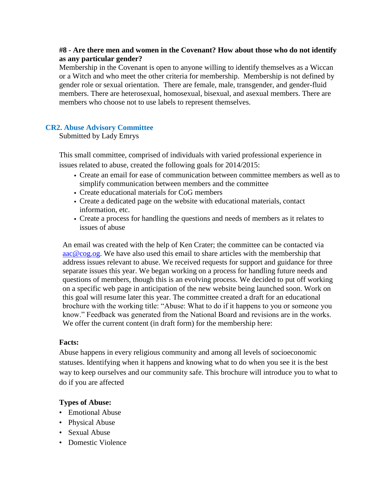### **#8 - Are there men and women in the Covenant? How about those who do not identify as any particular gender?**

Membership in the Covenant is open to anyone willing to identify themselves as a Wiccan or a Witch and who meet the other criteria for membership. Membership is not defined by gender role or sexual orientation. There are female, male, transgender, and gender-fluid members. There are heterosexual, homosexual, bisexual, and asexual members. There are members who choose not to use labels to represent themselves.

### **CR2. Abuse Advisory Committee**

Submitted by Lady Emrys

This small committee, comprised of individuals with varied professional experience in issues related to abuse, created the following goals for 2014/2015:

- Create an email for ease of communication between committee members as well as to simplify communication between members and the committee
- Create educational materials for CoG members
- Create a dedicated page on the website with educational materials, contact information, etc.
- Create a process for handling the questions and needs of members as it relates to issues of abuse

An email was created with the help of Ken Crater; the committee can be contacted via [aac@cog.og.](mailto:aac@cog.og) We have also used this email to share articles with the membership that address issues relevant to abuse. We received requests for support and guidance for three separate issues this year. We began working on a process for handling future needs and questions of members, though this is an evolving process. We decided to put off working on a specific web page in anticipation of the new website being launched soon. Work on this goal will resume later this year. The committee created a draft for an educational brochure with the working title: "Abuse: What to do if it happens to you or someone you know." Feedback was generated from the National Board and revisions are in the works. We offer the current content (in draft form) for the membership here:

### **Facts:**

Abuse happens in every religious community and among all levels of socioeconomic statuses. Identifying when it happens and knowing what to do when you see it is the best way to keep ourselves and our community safe. This brochure will introduce you to what to do if you are affected

### **Types of Abuse:**

- Emotional Abuse
- Physical Abuse
- Sexual Abuse
- Domestic Violence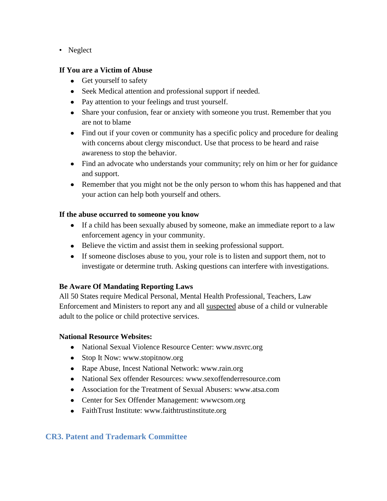• Neglect

# **If You are a Victim of Abuse**

- Get yourself to safety
- Seek Medical attention and professional support if needed.
- Pay attention to your feelings and trust yourself.
- Share your confusion, fear or anxiety with someone you trust. Remember that you  $\bullet$ are not to blame
- Find out if your coven or community has a specific policy and procedure for dealing with concerns about clergy misconduct. Use that process to be heard and raise awareness to stop the behavior.
- Find an advocate who understands your community; rely on him or her for guidance and support.
- Remember that you might not be the only person to whom this has happened and that your action can help both yourself and others.

# **If the abuse occurred to someone you know**

- If a child has been sexually abused by someone, make an immediate report to a law enforcement agency in your community.
- Believe the victim and assist them in seeking professional support.
- If someone discloses abuse to you, your role is to listen and support them, not to investigate or determine truth. Asking questions can interfere with investigations.

# **Be Aware Of Mandating Reporting Laws**

All 50 States require Medical Personal, Mental Health Professional, Teachers, Law Enforcement and Ministers to report any and all suspected abuse of a child or vulnerable adult to the police or child protective services.

# **National Resource Websites:**

- National Sexual Violence Resource Center: www.nsvrc.org
- $\bullet$ Stop It Now: www.stopitnow.org
- Rape Abuse, Incest National Network: www.rain.org
- National Sex offender Resources: www.sexoffenderresource.com
- Association for the Treatment of Sexual Abusers: www.atsa.com
- Center for Sex Offender Management: www.csom.org
- FaithTrust Institute: www.faithtrustinstitute.org

# **CR3. Patent and Trademark Committee**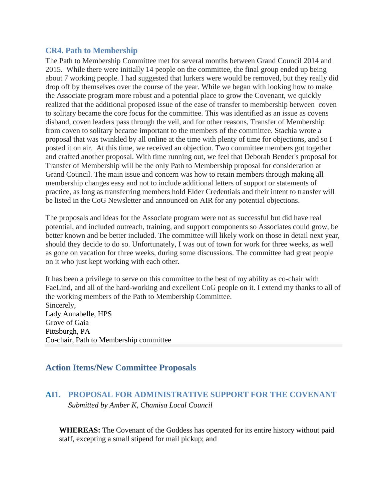### **CR4. Path to Membership**

The Path to Membership Committee met for several months between Grand Council 2014 and 2015. While there were initially 14 people on the committee, the final group ended up being about 7 working people. I had suggested that lurkers were would be removed, but they really did drop off by themselves over the course of the year. While we began with looking how to make the Associate program more robust and a potential place to grow the Covenant, we quickly realized that the additional proposed issue of the ease of transfer to membership between coven to solitary became the core focus for the committee. This was identified as an issue as covens disband, coven leaders pass through the veil, and for other reasons, Transfer of Membership from coven to solitary became important to the members of the committee. Stachia wrote a proposal that was twinkled by all online at the time with plenty of time for objections, and so I posted it on air. At this time, we received an objection. Two committee members got together and crafted another proposal. With time running out, we feel that Deborah Bender's proposal for Transfer of Membership will be the only Path to Membership proposal for consideration at Grand Council. The main issue and concern was how to retain members through making all membership changes easy and not to include additional letters of support or statements of practice, as long as transferring members hold Elder Credentials and their intent to transfer will be listed in the CoG Newsletter and announced on AIR for any potential objections.

The proposals and ideas for the Associate program were not as successful but did have real potential, and included outreach, training, and support components so Associates could grow, be better known and be better included. The committee will likely work on those in detail next year, should they decide to do so. Unfortunately, I was out of town for work for three weeks, as well as gone on vacation for three weeks, during some discussions. The committee had great people on it who just kept working with each other.

It has been a privilege to serve on this committee to the best of my ability as co-chair with FaeLind, and all of the hard-working and excellent CoG people on it. I extend my thanks to all of the working members of the Path to Membership Committee. Sincerely, Lady Annabelle, HPS Grove of Gaia Pittsburgh, PA Co-chair, Path to Membership committee

# **Action Items/New Committee Proposals**

# **AI1. PROPOSAL FOR ADMINISTRATIVE SUPPORT FOR THE COVENANT** *Submitted by Amber K, Chamisa Local Council*

**WHEREAS:** The Covenant of the Goddess has operated for its entire history without paid staff, excepting a small stipend for mail pickup; and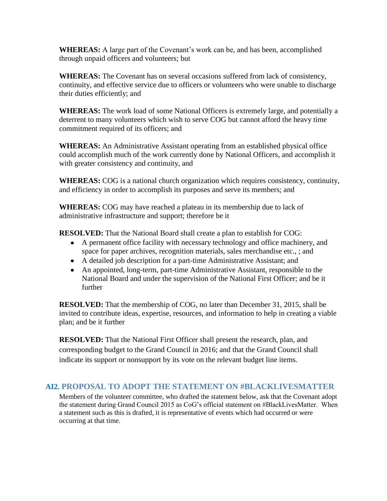**WHEREAS:** A large part of the Covenant's work can be, and has been, accomplished through unpaid officers and volunteers; but

**WHEREAS:** The Covenant has on several occasions suffered from lack of consistency, continuity, and effective service due to officers or volunteers who were unable to discharge their duties efficiently; and

**WHEREAS:** The work load of some National Officers is extremely large, and potentially a deterrent to many volunteers which wish to serve COG but cannot afford the heavy time commitment required of its officers; and

**WHEREAS:** An Administrative Assistant operating from an established physical office could accomplish much of the work currently done by National Officers, and accomplish it with greater consistency and continuity, and

**WHEREAS:** COG is a national church organization which requires consistency, continuity, and efficiency in order to accomplish its purposes and serve its members; and

**WHEREAS:** COG may have reached a plateau in its membership due to lack of administrative infrastructure and support; therefore be it

**RESOLVED:** That the National Board shall create a plan to establish for COG:

- A permanent office facility with necessary technology and office machinery, and space for paper archives, recognition materials, sales merchandise etc., ; and
- A detailed job description for a part-time Administrative Assistant; and
- An appointed, long-term, part-time Administrative Assistant, responsible to the National Board and under the supervision of the National First Officer; and be it further

**RESOLVED:** That the membership of COG, no later than December 31, 2015, shall be invited to contribute ideas, expertise, resources, and information to help in creating a viable plan; and be it further

**RESOLVED:** That the National First Officer shall present the research, plan, and corresponding budget to the Grand Council in 2016; and that the Grand Council shall indicate its support or nonsupport by its vote on the relevant budget line items.

# **AI2. PROPOSAL TO ADOPT THE STATEMENT ON #BLACKLIVESMATTER**

Members of the volunteer committee, who drafted the statement below, ask that the Covenant adopt the statement during Grand Council 2015 as CoG's official statement on #BlackLivesMatter. When a statement such as this is drafted, it is representative of events which had occurred or were occurring at that time.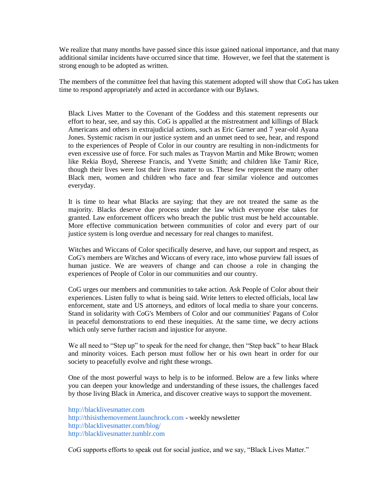We realize that many months have passed since this issue gained national importance, and that many additional similar incidents have occurred since that time. However, we feel that the statement is strong enough to be adopted as written.

The members of the committee feel that having this statement adopted will show that CoG has taken time to respond appropriately and acted in accordance with our Bylaws.

Black Lives Matter to the Covenant of the Goddess and this statement represents our effort to hear, see, and say this. CoG is appalled at the mistreatment and killings of Black Americans and others in extrajudicial actions, such as Eric Garner and 7 year-old Ayana Jones. Systemic racism in our justice system and an unmet need to see, hear, and respond to the experiences of People of Color in our country are resulting in non-indictments for even excessive use of force. For such males as Trayvon Martin and Mike Brown; women like Rekia Boyd, Shereese Francis, and Yvette Smith; and children like Tamir Rice, though their lives were lost their lives matter to us. These few represent the many other Black men, women and children who face and fear similar violence and outcomes everyday.

It is time to hear what Blacks are saying: that they are not treated the same as the majority. Blacks deserve due process under the law which everyone else takes for granted. Law enforcement officers who breach the public trust must be held accountable. More effective communication between communities of color and every part of our justice system is long overdue and necessary for real changes to manifest.

Witches and Wiccans of Color specifically deserve, and have, our support and respect, as CoG's members are Witches and Wiccans of every race, into whose purview fall issues of human justice. We are weavers of change and can choose a role in changing the experiences of People of Color in our communities and our country.

CoG urges our members and communities to take action. Ask People of Color about their experiences. Listen fully to what is being said. Write letters to elected officials, local law enforcement, state and US attorneys, and editors of local media to share your concerns. Stand in solidarity with CoG's Members of Color and our communities' Pagans of Color in peaceful demonstrations to end these inequities. At the same time, we decry actions which only serve further racism and injustice for anyone.

We all need to "Step up" to speak for the need for change, then "Step back" to hear Black and minority voices. Each person must follow her or his own heart in order for our society to peacefully evolve and right these wrongs.

One of the most powerful ways to help is to be informed. Below are a few links where you can deepen your knowledge and understanding of these issues, the challenges faced by those living Black in America, and discover creative ways to support the movement.

[http://blacklivesmatter.com](http://blacklivesmatter.com/) [http://thisisthemovement.launchrock.com](http://thisisthemovement.launchrock.com/) - weekly newsletter <http://blacklivesmatter.com/blog/> [http://blacklivesmatter.tumblr.com](http://blacklivesmatter.tumblr.com/)

CoG supports efforts to speak out for social justice, and we say, "Black Lives Matter."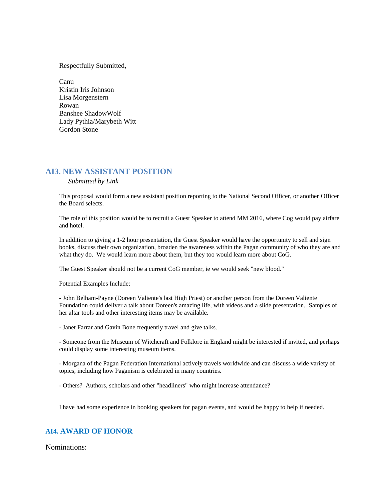Respectfully Submitted,

Canu Kristin Iris Johnson Lisa Morgenstern Rowan Banshee ShadowWolf Lady Pythia/Marybeth Witt Gordon Stone

#### **AI3. NEW ASSISTANT POSITION**

*Submitted by Link*

This proposal would form a new assistant position reporting to the National Second Officer, or another Officer the Board selects.

The role of this position would be to recruit a Guest Speaker to attend MM 2016, where Cog would pay airfare and hotel.

In addition to giving a 1-2 hour presentation, the Guest Speaker would have the opportunity to sell and sign books, discuss their own organization, broaden the awareness within the Pagan community of who they are and what they do. We would learn more about them, but they too would learn more about CoG.

The Guest Speaker should not be a current CoG member, ie we would seek "new blood."

Potential Examples Include:

- John Belham-Payne (Doreen Valiente's last High Priest) or another person from the Doreen Valiente Foundation could deliver a talk about Doreen's amazing life, with videos and a slide presentation. Samples of her altar tools and other interesting items may be available.

- Janet Farrar and Gavin Bone frequently travel and give talks.

- Someone from the Museum of Witchcraft and Folklore in England might be interested if invited, and perhaps could display some interesting museum items.

- Morgana of the Pagan Federation International actively travels worldwide and can discuss a wide variety of topics, including how Paganism is celebrated in many countries.

- Others? Authors, scholars and other "headliners" who might increase attendance?

I have had some experience in booking speakers for pagan events, and would be happy to help if needed.

#### **AI4. AWARD OF HONOR**

Nominations: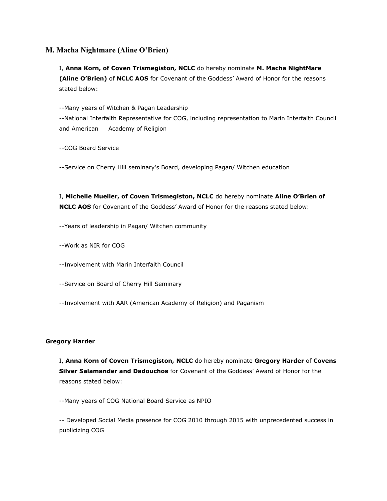#### **M. Macha Nightmare (Aline O'Brien)**

I, **Anna Korn, of Coven Trismegiston, NCLC** do hereby nominate **M. Macha NightMare (Aline O'Brien)** of **NCLC AOS** for Covenant of the Goddess' Award of Honor for the reasons stated below:

--Many years of Witchen & Pagan Leadership --National Interfaith Representative for COG, including representation to Marin Interfaith Council and American Academy of Religion

--COG Board Service

--Service on Cherry Hill seminary's Board, developing Pagan/ Witchen education

I, **Michelle Mueller, of Coven Trismegiston, NCLC** do hereby nominate **Aline O'Brien of NCLC AOS** for Covenant of the Goddess' Award of Honor for the reasons stated below:

--Years of leadership in Pagan/ Witchen community

--Work as NIR for COG

--Involvement with Marin Interfaith Council

--Service on Board of Cherry Hill Seminary

--Involvement with AAR (American Academy of Religion) and Paganism

#### **Gregory Harder**

I, **Anna Korn of Coven Trismegiston, NCLC** do hereby nominate **Gregory Harder** of **Covens Silver Salamander and Dadouchos** for Covenant of the Goddess' Award of Honor for the reasons stated below:

--Many years of COG National Board Service as NPIO

-- Developed Social Media presence for COG 2010 through 2015 with unprecedented success in publicizing COG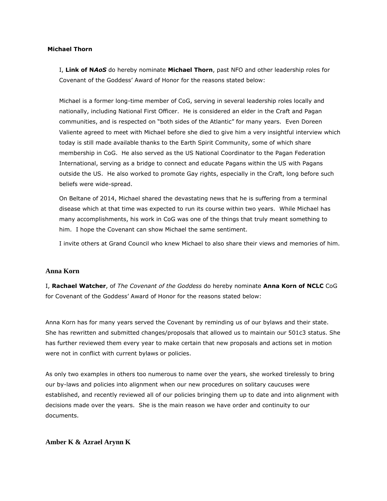#### **Michael Thorn**

I, **Link of N***AoS* do hereby nominate **Michael Thorn**, past NFO and other leadership roles for Covenant of the Goddess' Award of Honor for the reasons stated below:

Michael is a former long-time member of CoG, serving in several leadership roles locally and nationally, including National First Officer. He is considered an elder in the Craft and Pagan communities, and is respected on "both sides of the Atlantic" for many years. Even Doreen Valiente agreed to meet with Michael before she died to give him a very insightful interview which today is still made available thanks to the Earth Spirit Community, some of which share membership in CoG. He also served as the US National Coordinator to the Pagan Federation International, serving as a bridge to connect and educate Pagans within the US with Pagans outside the US. He also worked to promote Gay rights, especially in the Craft, long before such beliefs were wide-spread.

On Beltane of 2014, Michael shared the devastating news that he is suffering from a terminal disease which at that time was expected to run its course within two years. While Michael has many accomplishments, his work in CoG was one of the things that truly meant something to him. I hope the Covenant can show Michael the same sentiment.

I invite others at Grand Council who knew Michael to also share their views and memories of him.

#### **Anna Korn**

I, **Rachael Watcher**, of *The Covenant of the Goddess* do hereby nominate **Anna Korn of NCLC** CoG for Covenant of the Goddess' Award of Honor for the reasons stated below:

Anna Korn has for many years served the Covenant by reminding us of our bylaws and their state. She has rewritten and submitted changes/proposals that allowed us to maintain our 501c3 status. She has further reviewed them every year to make certain that new proposals and actions set in motion were not in conflict with current bylaws or policies.

As only two examples in others too numerous to name over the years, she worked tirelessly to bring our by-laws and policies into alignment when our new procedures on solitary caucuses were established, and recently reviewed all of our policies bringing them up to date and into alignment with decisions made over the years. She is the main reason we have order and continuity to our documents.

#### **Amber K & Azrael Arynn K**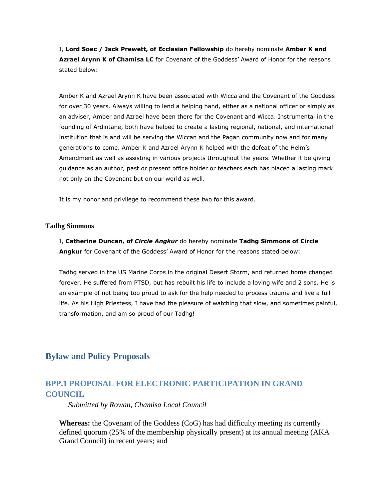I, **Lord Soec / Jack Prewett, of Ecclasian Fellowship** do hereby nominate **Amber K and Azrael Arynn K of Chamisa LC** for Covenant of the Goddess' Award of Honor for the reasons stated below:

Amber K and Azrael Arynn K have been associated with Wicca and the Covenant of the Goddess for over 30 years. Always willing to lend a helping hand, either as a national officer or simply as an adviser, Amber and Azrael have been there for the Covenant and Wicca. Instrumental in the founding of Ardintane, both have helped to create a lasting regional, national, and international institution that is and will be serving the Wiccan and the Pagan community now and for many generations to come. Amber K and Azrael Arynn K helped with the defeat of the Helm's Amendment as well as assisting in various projects throughout the years. Whether it be giving guidance as an author, past or present office holder or teachers each has placed a lasting mark not only on the Covenant but on our world as well.

It is my honor and privilege to recommend these two for this award.

#### **Tadhg Simmons**

I, **Catherine Duncan, of** *Circle Angkur* do hereby nominate **Tadhg Simmons of Circle Angkur** for Covenant of the Goddess' Award of Honor for the reasons stated below:

Tadhg served in the US Marine Corps in the original Desert Storm, and returned home changed forever. He suffered from PTSD, but has rebuilt his life to include a loving wife and 2 sons. He is an example of not being too proud to ask for the help needed to process trauma and live a full life. As his High Priestess, I have had the pleasure of watching that slow, and sometimes painful, transformation, and am so proud of our Tadhg!

# **Bylaw and Policy Proposals**

# **BPP.1 PROPOSAL FOR ELECTRONIC PARTICIPATION IN GRAND COUNCIL**

*Submitted by Rowan, Chamisa Local Council*

**Whereas:** the Covenant of the Goddess (CoG) has had difficulty meeting its currently defined quorum (25% of the membership physically present) at its annual meeting (AKA Grand Council) in recent years; and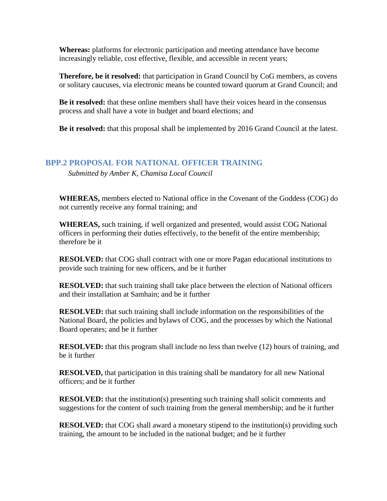**Whereas:** platforms for electronic participation and meeting attendance have become increasingly reliable, cost effective, flexible, and accessible in recent years;

**Therefore, be it resolved:** that participation in Grand Council by CoG members, as covens or solitary caucuses, via electronic means be counted toward quorum at Grand Council; and

**Be it resolved:** that these online members shall have their voices heard in the consensus process and shall have a vote in budget and board elections; and

**Be it resolved:** that this proposal shall be implemented by 2016 Grand Council at the latest.

# **BPP.2 PROPOSAL FOR NATIONAL OFFICER TRAINING**

*Submitted by Amber K, Chamisa Local Council*

**WHEREAS,** members elected to National office in the Covenant of the Goddess (COG) do not currently receive any formal training; and

**WHEREAS,** such training, if well organized and presented, would assist COG National officers in performing their duties effectively, to the benefit of the entire membership; therefore be it

**RESOLVED:** that COG shall contract with one or more Pagan educational institutions to provide such training for new officers, and be it further

**RESOLVED:** that such training shall take place between the election of National officers and their installation at Samhain; and be it further

**RESOLVED:** that such training shall include information on the responsibilities of the National Board, the policies and bylaws of COG, and the processes by which the National Board operates; and be it further

**RESOLVED:** that this program shall include no less than twelve (12) hours of training, and be it further

**RESOLVED,** that participation in this training shall be mandatory for all new National officers; and be it further

**RESOLVED:** that the institution(s) presenting such training shall solicit comments and suggestions for the content of such training from the general membership; and be it further

**RESOLVED:** that COG shall award a monetary stipend to the institution(s) providing such training, the amount to be included in the national budget; and be it further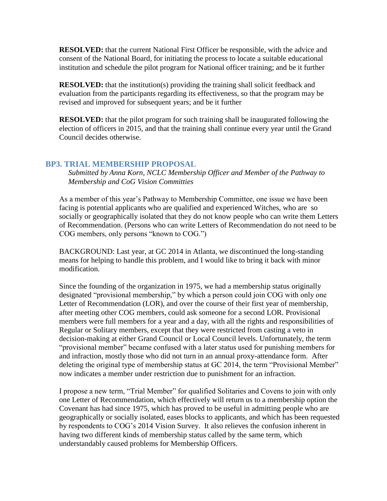**RESOLVED:** that the current National First Officer be responsible, with the advice and consent of the National Board, for initiating the process to locate a suitable educational institution and schedule the pilot program for National officer training; and be it further

**RESOLVED:** that the institution(s) providing the training shall solicit feedback and evaluation from the participants regarding its effectiveness, so that the program may be revised and improved for subsequent years; and be it further

**RESOLVED:** that the pilot program for such training shall be inaugurated following the election of officers in 2015, and that the training shall continue every year until the Grand Council decides otherwise.

# **BP3. TRIAL MEMBERSHIP PROPOSAL**

*Submitted by Anna Korn, NCLC Membership Officer and Member of the Pathway to Membership and CoG Vision Committies*

As a member of this year's Pathway to Membership Committee, one issue we have been facing is potential applicants who are qualified and experienced Witches, who are so socially or geographically isolated that they do not know people who can write them Letters of Recommendation. (Persons who can write Letters of Recommendation do not need to be COG members, only persons "known to COG.")

BACKGROUND: Last year, at GC 2014 in Atlanta, we discontinued the long-standing means for helping to handle this problem, and I would like to bring it back with minor modification.

Since the founding of the organization in 1975, we had a membership status originally designated "provisional membership," by which a person could join COG with only one Letter of Recommendation (LOR), and over the course of their first year of membership, after meeting other COG members, could ask someone for a second LOR. Provisional members were full members for a year and a day, with all the rights and responsibilities of Regular or Solitary members, except that they were restricted from casting a veto in decision-making at either Grand Council or Local Council levels. Unfortunately, the term "provisional member" became confused with a later status used for punishing members for and infraction, mostly those who did not turn in an annual proxy-attendance form. After deleting the original type of membership status at GC 2014, the term "Provisional Member" now indicates a member under restriction due to punishment for an infraction.

I propose a new term, "Trial Member" for qualified Solitaries and Covens to join with only one Letter of Recommendation, which effectively will return us to a membership option the Covenant has had since 1975, which has proved to be useful in admitting people who are geographically or socially isolated, eases blocks to applicants, and which has been requested by respondents to COG's 2014 Vision Survey. It also relieves the confusion inherent in having two different kinds of membership status called by the same term, which understandably caused problems for Membership Officers.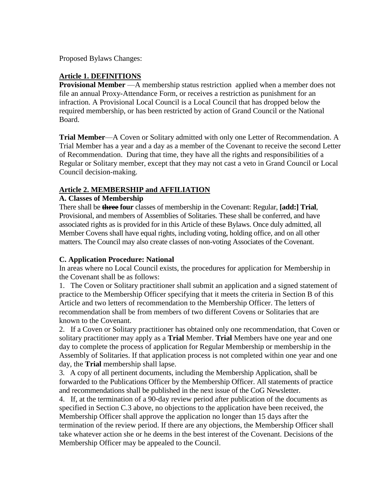Proposed Bylaws Changes:

### **Article 1. DEFINITIONS**

**Provisional Member** —A membership status restriction applied when a member does not file an annual Proxy-Attendance Form, or receives a restriction as punishment for an infraction. A Provisional Local Council is a Local Council that has dropped below the required membership, or has been restricted by action of Grand Council or the National Board.

**Trial Member**—A Coven or Solitary admitted with only one Letter of Recommendation. A Trial Member has a year and a day as a member of the Covenant to receive the second Letter of Recommendation. During that time, they have all the rights and responsibilities of a Regular or Solitary member, except that they may not cast a veto in Grand Council or Local Council decision-making.

# **Article 2. MEMBERSHIP and AFFILIATION**

### **A. Classes of Membership**

There shall be **three four** classes of membership in the Covenant: Regular, **[add:] Trial**, Provisional, and members of Assemblies of Solitaries. These shall be conferred, and have associated rights as is provided for in this Article of these Bylaws. Once duly admitted, all Member Covens shall have equal rights, including voting, holding office, and on all other matters. The Council may also create classes of non-voting Associates of the Covenant.

# **C. Application Procedure: National**

In areas where no Local Council exists, the procedures for application for Membership in the Covenant shall be as follows:

1. The Coven or Solitary practitioner shall submit an application and a signed statement of practice to the Membership Officer specifying that it meets the criteria in Section B of this Article and two letters of recommendation to the Membership Officer. The letters of recommendation shall be from members of two different Covens or Solitaries that are known to the Covenant.

2. If a Coven or Solitary practitioner has obtained only one recommendation, that Coven or solitary practitioner may apply as a **Trial** Member. **Trial** Members have one year and one day to complete the process of application for Regular Membership or membership in the Assembly of Solitaries. If that application process is not completed within one year and one day, the **Trial** membership shall lapse.

3. A copy of all pertinent documents, including the Membership Application, shall be forwarded to the Publications Officer by the Membership Officer. All statements of practice and recommendations shall be published in the next issue of the CoG Newsletter.

4. If, at the termination of a 90-day review period after publication of the documents as specified in Section C.3 above, no objections to the application have been received, the Membership Officer shall approve the application no longer than 15 days after the termination of the review period. If there are any objections, the Membership Officer shall take whatever action she or he deems in the best interest of the Covenant. Decisions of the Membership Officer may be appealed to the Council.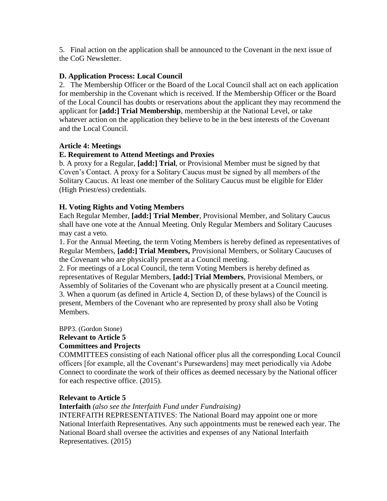5. Final action on the application shall be announced to the Covenant in the next issue of the CoG Newsletter.

### **D. Application Process: Local Council**

2. The Membership Officer or the Board of the Local Council shall act on each application for membership in the Covenant which is received. If the Membership Officer or the Board of the Local Council has doubts or reservations about the applicant they may recommend the applicant for **[add:] Trial Membership**, membership at the National Level, or take whatever action on the application they believe to be in the best interests of the Covenant and the Local Council.

### **Article 4: Meetings**

# **E. Requirement to Attend Meetings and Proxies**

b. A proxy for a Regular, **[add:] Trial**, or Provisional Member must be signed by that Coven's Contact. A proxy for a Solitary Caucus must be signed by all members of the Solitary Caucus. At least one member of the Solitary Caucus must be eligible for Elder (High Priest/ess) credentials.

# **H. Voting Rights and Voting Members**

Each Regular Member, **[add:] Trial Member**, Provisional Member, and Solitary Caucus shall have one vote at the Annual Meeting. Only Regular Members and Solitary Caucuses may cast a veto.

1. For the Annual Meeting, the term Voting Members is hereby defined as representatives of Regular Members, **[add:] Trial Members,** Provisional Members, or Solitary Caucuses of the Covenant who are physically present at a Council meeting.

2. For meetings of a Local Council, the term Voting Members is hereby defined as representatives of Regular Members, **[add:] Trial Members**, Provisional Members, or Assembly of Solitaries of the Covenant who are physically present at a Council meeting. 3. When a quorum (as defined in Article 4, Section D, of these bylaws) of the Council is present, Members of the Covenant who are represented by proxy shall also be Voting Members.

BPP3. (Gordon Stone) **Relevant to Article 5 Committees and Projects** 

COMMITTEES consisting of each National officer plus all the corresponding Local Council officers [for example, all the Covenant's Pursewardens] may meet periodically via Adobe Connect to coordinate the work of their offices as deemed necessary by the National officer for each respective office. (2015).

### **Relevant to Article 5**

### **Interfaith** *(also see the Interfaith Fund under Fundraising)*

INTERFAITH REPRESENTATIVES: The National Board may appoint one or more National Interfaith Representatives. Any such appointments must be renewed each year. The National Board shall oversee the activities and expenses of any National Interfaith Representatives. (2015)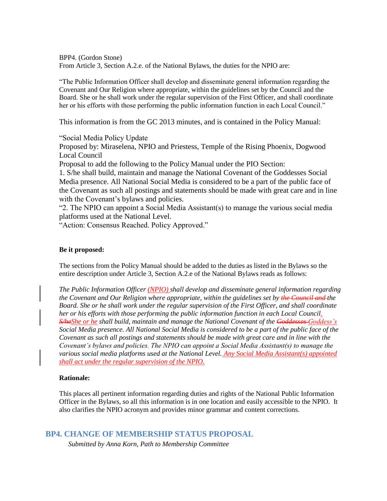BPP4. (Gordon Stone) From Article 3, Section A.2.e. of the National Bylaws, the duties for the NPIO are:

"The Public Information Officer shall develop and disseminate general information regarding the Covenant and Our Religion where appropriate, within the guidelines set by the Council and the Board. She or he shall work under the regular supervision of the First Officer, and shall coordinate her or his efforts with those performing the public information function in each Local Council."

This information is from the GC 2013 minutes, and is contained in the Policy Manual:

"Social Media Policy Update

Proposed by: Miraselena, NPIO and Priestess, Temple of the Rising Phoenix, Dogwood Local Council

Proposal to add the following to the Policy Manual under the PIO Section:

1. S/he shall build, maintain and manage the National Covenant of the Goddesses Social Media presence. All National Social Media is considered to be a part of the public face of the Covenant as such all postings and statements should be made with great care and in line with the Covenant's bylaws and policies.

"2. The NPIO can appoint a Social Media Assistant(s) to manage the various social media platforms used at the National Level.

"Action: Consensus Reached. Policy Approved."

#### **Be it proposed:**

The sections from the Policy Manual should be added to the duties as listed in the Bylaws so the entire description under Article 3, Section A.2.e of the National Bylaws reads as follows:

*The Public Information Officer (NPIO) shall develop and disseminate general information regarding the Covenant and Our Religion where appropriate, within the guidelines set by the Council and the Board. She or he shall work under the regular supervision of the First Officer, and shall coordinate her or his efforts with those performing the public information function in each Local Council. S/heShe or he shall build, maintain and manage the National Covenant of the Goddesses Goddess's Social Media presence. All National Social Media is considered to be a part of the public face of the Covenant as such all postings and statements should be made with great care and in line with the Covenant's bylaws and policies. The NPIO can appoint a Social Media Assistant(s) to manage the various social media platforms used at the National Level. Any Social Media Assistant(s) appointed shall act under the regular supervision of the NPIO.*

#### **Rationale:**

This places all pertinent information regarding duties and rights of the National Public Information Officer in the Bylaws, so all this information is in one location and easily accessible to the NPIO. It also clarifies the NPIO acronym and provides minor grammar and content corrections.

#### **BP4. CHANGE OF MEMBERSHIP STATUS PROPOSAL**

*Submitted by Anna Korn, Path to Membership Committee*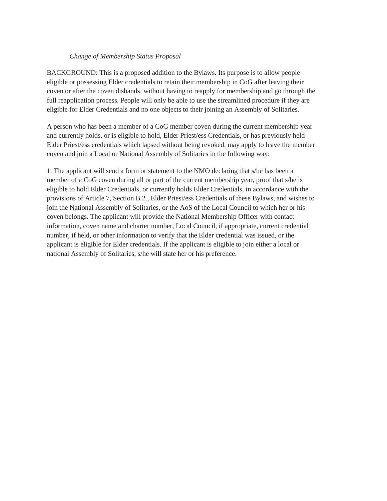#### *Change of Membership Status Proposal*

BACKGROUND: This is a proposed addition to the Bylaws. Its purpose is to allow people eligible or possessing Elder credentials to retain their membership in CoG after leaving their coven or after the coven disbands, without having to reapply for membership and go through the full reapplication process. People will only be able to use the streamlined procedure if they are eligible for Elder Credentials and no one objects to their joining an Assembly of Solitaries.

A person who has been a member of a CoG member coven during the current membership year and currently holds, or is eligible to hold, Elder Priest/ess Credentials, or has previously held Elder Priest/ess credentials which lapsed without being revoked, may apply to leave the member coven and join a Local or National Assembly of Solitaries in the following way:

1. The applicant will send a form or statement to the NMO declaring that s/he has been a member of a CoG coven during all or part of the current membership year, proof that s/he is eligible to hold Elder Credentials, or currently holds Elder Credentials, in accordance with the provisions of Article 7, Section B.2., Elder Priest/ess Credentials of these Bylaws, and wishes to join the National Assembly of Solitaries, or the AoS of the Local Council to which her or his coven belongs. The applicant will provide the National Membership Officer with contact information, coven name and charter number, Local Council, if appropriate, current credential number, if held, or other information to verify that the Elder credential was issued, or the applicant is eligible for Elder credentials. If the applicant is eligible to join either a local or national Assembly of Solitaries, s/he will state her or his preference.